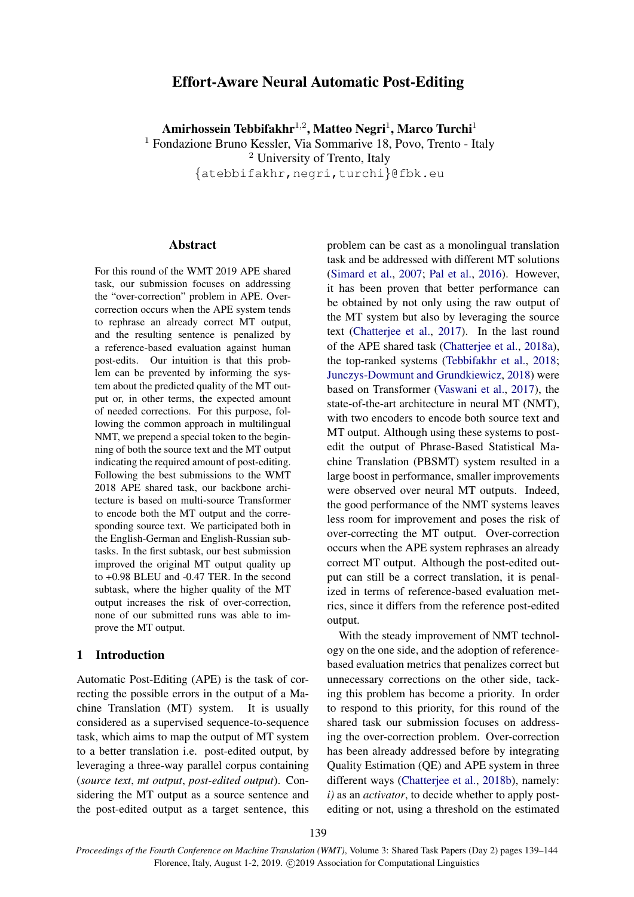# Effort-Aware Neural Automatic Post-Editing

Amirhossein Tebbifakhr $^{1,2}$ , Matteo Negri $^{1}$ , Marco Turchi $^{1}$ 

<sup>1</sup> Fondazione Bruno Kessler, Via Sommarive 18, Povo, Trento - Italy

<sup>2</sup> University of Trento, Italy

{atebbifakhr,negri,turchi}@fbk.eu

# **Abstract**

For this round of the WMT 2019 APE shared task, our submission focuses on addressing the "over-correction" problem in APE. Overcorrection occurs when the APE system tends to rephrase an already correct MT output, and the resulting sentence is penalized by a reference-based evaluation against human post-edits. Our intuition is that this problem can be prevented by informing the system about the predicted quality of the MT output or, in other terms, the expected amount of needed corrections. For this purpose, following the common approach in multilingual NMT, we prepend a special token to the beginning of both the source text and the MT output indicating the required amount of post-editing. Following the best submissions to the WMT 2018 APE shared task, our backbone architecture is based on multi-source Transformer to encode both the MT output and the corresponding source text. We participated both in the English-German and English-Russian subtasks. In the first subtask, our best submission improved the original MT output quality up to +0.98 BLEU and -0.47 TER. In the second subtask, where the higher quality of the MT output increases the risk of over-correction, none of our submitted runs was able to improve the MT output.

### 1 Introduction

Automatic Post-Editing (APE) is the task of correcting the possible errors in the output of a Machine Translation (MT) system. It is usually considered as a supervised sequence-to-sequence task, which aims to map the output of MT system to a better translation i.e. post-edited output, by leveraging a three-way parallel corpus containing (*source text*, *mt output*, *post-edited output*). Considering the MT output as a source sentence and the post-edited output as a target sentence, this problem can be cast as a monolingual translation task and be addressed with different MT solutions [\(Simard et al.,](#page-4-0) [2007;](#page-4-0) [Pal et al.,](#page-4-1) [2016\)](#page-4-1). However, it has been proven that better performance can be obtained by not only using the raw output of the MT system but also by leveraging the source text [\(Chatterjee et al.,](#page-4-2) [2017\)](#page-4-2). In the last round of the APE shared task [\(Chatterjee et al.,](#page-4-3) [2018a\)](#page-4-3), the top-ranked systems [\(Tebbifakhr et al.,](#page-5-0) [2018;](#page-5-0) [Junczys-Dowmunt and Grundkiewicz,](#page-4-4) [2018\)](#page-4-4) were based on Transformer [\(Vaswani et al.,](#page-5-1) [2017\)](#page-5-1), the state-of-the-art architecture in neural MT (NMT), with two encoders to encode both source text and MT output. Although using these systems to postedit the output of Phrase-Based Statistical Machine Translation (PBSMT) system resulted in a large boost in performance, smaller improvements were observed over neural MT outputs. Indeed, the good performance of the NMT systems leaves less room for improvement and poses the risk of over-correcting the MT output. Over-correction occurs when the APE system rephrases an already correct MT output. Although the post-edited output can still be a correct translation, it is penalized in terms of reference-based evaluation metrics, since it differs from the reference post-edited output.

With the steady improvement of NMT technology on the one side, and the adoption of referencebased evaluation metrics that penalizes correct but unnecessary corrections on the other side, tacking this problem has become a priority. In order to respond to this priority, for this round of the shared task our submission focuses on addressing the over-correction problem. Over-correction has been already addressed before by integrating Quality Estimation (QE) and APE system in three different ways [\(Chatterjee et al.,](#page-4-5) [2018b\)](#page-4-5), namely: *i)* as an *activator*, to decide whether to apply postediting or not, using a threshold on the estimated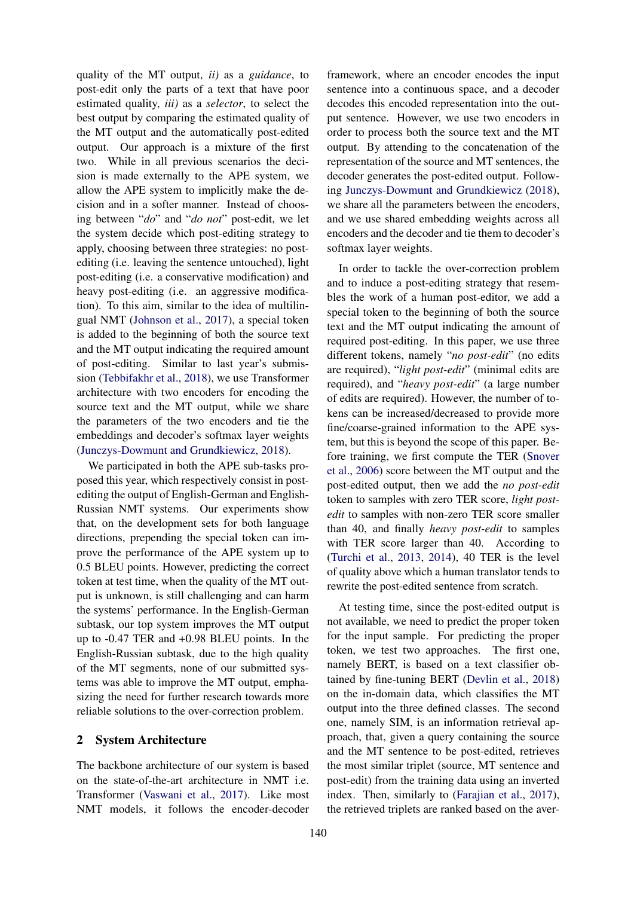quality of the MT output, *ii)* as a *guidance*, to post-edit only the parts of a text that have poor estimated quality, *iii)* as a *selector*, to select the best output by comparing the estimated quality of the MT output and the automatically post-edited output. Our approach is a mixture of the first two. While in all previous scenarios the decision is made externally to the APE system, we allow the APE system to implicitly make the decision and in a softer manner. Instead of choosing between "*do*" and "*do not*" post-edit, we let the system decide which post-editing strategy to apply, choosing between three strategies: no postediting (i.e. leaving the sentence untouched), light post-editing (i.e. a conservative modification) and heavy post-editing (i.e. an aggressive modification). To this aim, similar to the idea of multilingual NMT [\(Johnson et al.,](#page-4-6) [2017\)](#page-4-6), a special token is added to the beginning of both the source text and the MT output indicating the required amount of post-editing. Similar to last year's submission [\(Tebbifakhr et al.,](#page-5-0) [2018\)](#page-5-0), we use Transformer architecture with two encoders for encoding the source text and the MT output, while we share the parameters of the two encoders and tie the embeddings and decoder's softmax layer weights [\(Junczys-Dowmunt and Grundkiewicz,](#page-4-4) [2018\)](#page-4-4).

We participated in both the APE sub-tasks proposed this year, which respectively consist in postediting the output of English-German and English-Russian NMT systems. Our experiments show that, on the development sets for both language directions, prepending the special token can improve the performance of the APE system up to 0.5 BLEU points. However, predicting the correct token at test time, when the quality of the MT output is unknown, is still challenging and can harm the systems' performance. In the English-German subtask, our top system improves the MT output up to -0.47 TER and +0.98 BLEU points. In the English-Russian subtask, due to the high quality of the MT segments, none of our submitted systems was able to improve the MT output, emphasizing the need for further research towards more reliable solutions to the over-correction problem.

### 2 System Architecture

The backbone architecture of our system is based on the state-of-the-art architecture in NMT i.e. Transformer [\(Vaswani et al.,](#page-5-1) [2017\)](#page-5-1). Like most NMT models, it follows the encoder-decoder

framework, where an encoder encodes the input sentence into a continuous space, and a decoder decodes this encoded representation into the output sentence. However, we use two encoders in order to process both the source text and the MT output. By attending to the concatenation of the representation of the source and MT sentences, the decoder generates the post-edited output. Following [Junczys-Dowmunt and Grundkiewicz](#page-4-4) [\(2018\)](#page-4-4), we share all the parameters between the encoders, and we use shared embedding weights across all encoders and the decoder and tie them to decoder's softmax layer weights.

In order to tackle the over-correction problem and to induce a post-editing strategy that resembles the work of a human post-editor, we add a special token to the beginning of both the source text and the MT output indicating the amount of required post-editing. In this paper, we use three different tokens, namely "*no post-edit*" (no edits are required), "*light post-edit*" (minimal edits are required), and "*heavy post-edit*" (a large number of edits are required). However, the number of tokens can be increased/decreased to provide more fine/coarse-grained information to the APE system, but this is beyond the scope of this paper. Before training, we first compute the TER [\(Snover](#page-5-2) [et al.,](#page-5-2) [2006\)](#page-5-2) score between the MT output and the post-edited output, then we add the *no post-edit* token to samples with zero TER score, *light postedit* to samples with non-zero TER score smaller than 40, and finally *heavy post-edit* to samples with TER score larger than 40. According to [\(Turchi et al.,](#page-5-3) [2013,](#page-5-3) [2014\)](#page-5-4), 40 TER is the level of quality above which a human translator tends to rewrite the post-edited sentence from scratch.

At testing time, since the post-edited output is not available, we need to predict the proper token for the input sample. For predicting the proper token, we test two approaches. The first one, namely BERT, is based on a text classifier obtained by fine-tuning BERT [\(Devlin et al.,](#page-4-7) [2018\)](#page-4-7) on the in-domain data, which classifies the MT output into the three defined classes. The second one, namely SIM, is an information retrieval approach, that, given a query containing the source and the MT sentence to be post-edited, retrieves the most similar triplet (source, MT sentence and post-edit) from the training data using an inverted index. Then, similarly to [\(Farajian et al.,](#page-4-8) [2017\)](#page-4-8), the retrieved triplets are ranked based on the aver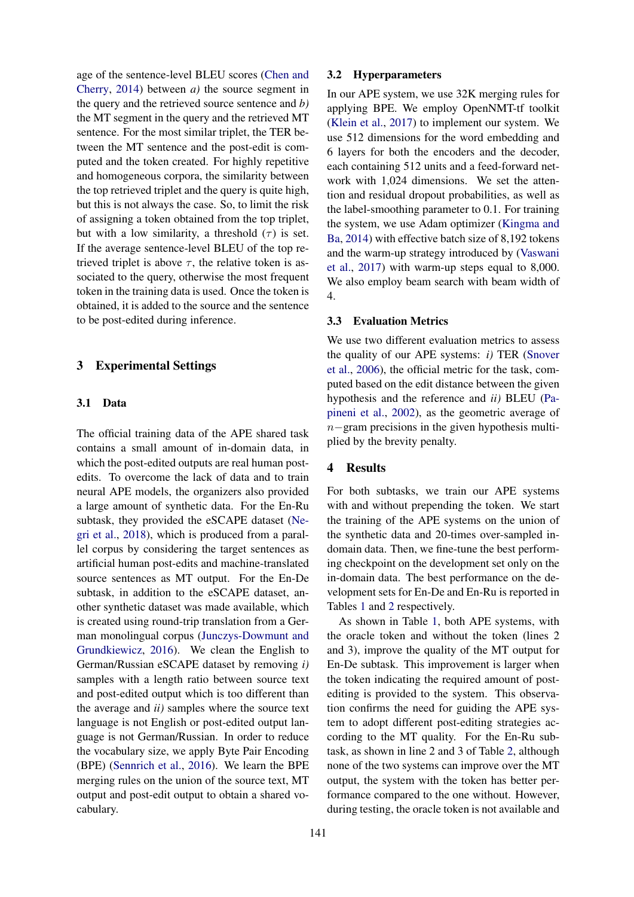age of the sentence-level BLEU scores [\(Chen and](#page-4-9) [Cherry,](#page-4-9) [2014\)](#page-4-9) between *a)* the source segment in the query and the retrieved source sentence and *b)* the MT segment in the query and the retrieved MT sentence. For the most similar triplet, the TER between the MT sentence and the post-edit is computed and the token created. For highly repetitive and homogeneous corpora, the similarity between the top retrieved triplet and the query is quite high, but this is not always the case. So, to limit the risk of assigning a token obtained from the top triplet, but with a low similarity, a threshold  $(\tau)$  is set. If the average sentence-level BLEU of the top retrieved triplet is above  $\tau$ , the relative token is associated to the query, otherwise the most frequent token in the training data is used. Once the token is obtained, it is added to the source and the sentence to be post-edited during inference.

# 3 Experimental Settings

# 3.1 Data

The official training data of the APE shared task contains a small amount of in-domain data, in which the post-edited outputs are real human postedits. To overcome the lack of data and to train neural APE models, the organizers also provided a large amount of synthetic data. For the En-Ru subtask, they provided the eSCAPE dataset [\(Ne](#page-4-10)[gri et al.,](#page-4-10) [2018\)](#page-4-10), which is produced from a parallel corpus by considering the target sentences as artificial human post-edits and machine-translated source sentences as MT output. For the En-De subtask, in addition to the eSCAPE dataset, another synthetic dataset was made available, which is created using round-trip translation from a German monolingual corpus [\(Junczys-Dowmunt and](#page-4-11) [Grundkiewicz,](#page-4-11) [2016\)](#page-4-11). We clean the English to German/Russian eSCAPE dataset by removing *i)* samples with a length ratio between source text and post-edited output which is too different than the average and *ii)* samples where the source text language is not English or post-edited output language is not German/Russian. In order to reduce the vocabulary size, we apply Byte Pair Encoding (BPE) [\(Sennrich et al.,](#page-4-12) [2016\)](#page-4-12). We learn the BPE merging rules on the union of the source text, MT output and post-edit output to obtain a shared vocabulary.

#### 3.2 Hyperparameters

In our APE system, we use 32K merging rules for applying BPE. We employ OpenNMT-tf toolkit [\(Klein et al.,](#page-4-13) [2017\)](#page-4-13) to implement our system. We use 512 dimensions for the word embedding and 6 layers for both the encoders and the decoder, each containing 512 units and a feed-forward network with 1,024 dimensions. We set the attention and residual dropout probabilities, as well as the label-smoothing parameter to 0.1. For training the system, we use Adam optimizer [\(Kingma and](#page-4-14) [Ba,](#page-4-14) [2014\)](#page-4-14) with effective batch size of 8,192 tokens and the warm-up strategy introduced by [\(Vaswani](#page-5-1) [et al.,](#page-5-1) [2017\)](#page-5-1) with warm-up steps equal to 8,000. We also employ beam search with beam width of 4.

### 3.3 Evaluation Metrics

We use two different evaluation metrics to assess the quality of our APE systems: *i)* TER [\(Snover](#page-5-2) [et al.,](#page-5-2) [2006\)](#page-5-2), the official metric for the task, computed based on the edit distance between the given hypothesis and the reference and *ii)* BLEU [\(Pa](#page-4-15)[pineni et al.,](#page-4-15) [2002\)](#page-4-15), as the geometric average of n−gram precisions in the given hypothesis multiplied by the brevity penalty.

#### 4 Results

For both subtasks, we train our APE systems with and without prepending the token. We start the training of the APE systems on the union of the synthetic data and 20-times over-sampled indomain data. Then, we fine-tune the best performing checkpoint on the development set only on the in-domain data. The best performance on the development sets for En-De and En-Ru is reported in Tables [1](#page-3-0) and [2](#page-3-1) respectively.

As shown in Table [1,](#page-3-0) both APE systems, with the oracle token and without the token (lines 2 and 3), improve the quality of the MT output for En-De subtask. This improvement is larger when the token indicating the required amount of postediting is provided to the system. This observation confirms the need for guiding the APE system to adopt different post-editing strategies according to the MT quality. For the En-Ru subtask, as shown in line 2 and 3 of Table [2,](#page-3-1) although none of the two systems can improve over the MT output, the system with the token has better performance compared to the one without. However, during testing, the oracle token is not available and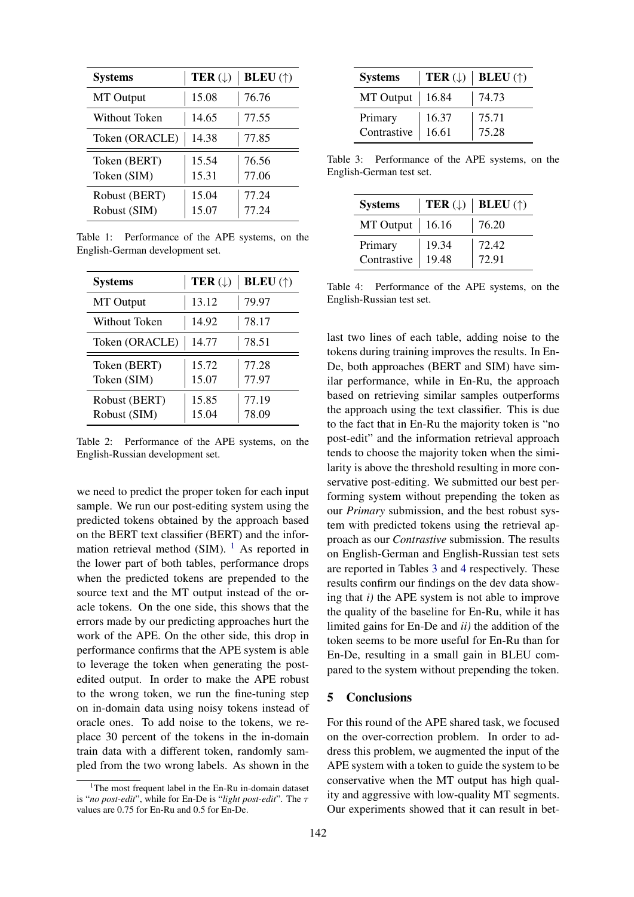<span id="page-3-0"></span>

| <b>Systems</b>                | TER $(\downarrow)$ | <b>BLEU</b> $(\uparrow)$ |
|-------------------------------|--------------------|--------------------------|
| MT Output                     | 15.08              | 76.76                    |
| Without Token                 | 14.65              | 77.55                    |
| Token (ORACLE)                | 14.38              | 77.85                    |
| Token (BERT)<br>Token (SIM)   | 15.54<br>15.31     | 76.56<br>77.06           |
| Robust (BERT)<br>Robust (SIM) | 15.04<br>15.07     | 77.24<br>77.24           |

Table 1: Performance of the APE systems, on the English-German development set.

<span id="page-3-1"></span>

| <b>Systems</b>                | TER $(\downarrow)$ | <b>BLEU</b> $(\uparrow)$ |
|-------------------------------|--------------------|--------------------------|
| MT Output                     | 13.12              | 79.97                    |
| Without Token                 | 14.92              | 78.17                    |
| Token (ORACLE)                | 14.77              | 78.51                    |
| Token (BERT)<br>Token (SIM)   | 15.72<br>15.07     | 77.28<br>77.97           |
| Robust (BERT)<br>Robust (SIM) | 15.85<br>15.04     | 77.19<br>78.09           |

Table 2: Performance of the APE systems, on the English-Russian development set.

we need to predict the proper token for each input sample. We run our post-editing system using the predicted tokens obtained by the approach based on the BERT text classifier (BERT) and the information retrieval method (SIM).  $<sup>1</sup>$  $<sup>1</sup>$  $<sup>1</sup>$  As reported in</sup> the lower part of both tables, performance drops when the predicted tokens are prepended to the source text and the MT output instead of the oracle tokens. On the one side, this shows that the errors made by our predicting approaches hurt the work of the APE. On the other side, this drop in performance confirms that the APE system is able to leverage the token when generating the postedited output. In order to make the APE robust to the wrong token, we run the fine-tuning step on in-domain data using noisy tokens instead of oracle ones. To add noise to the tokens, we replace 30 percent of the tokens in the in-domain train data with a different token, randomly sampled from the two wrong labels. As shown in the

<span id="page-3-3"></span>

| <b>Systems</b>    |       | <b>TER</b> ( $\downarrow$ )   <b>BLEU</b> ( $\uparrow$ ) |
|-------------------|-------|----------------------------------------------------------|
| MT Output   16.84 |       | 74.73                                                    |
| Primary           | 16.37 | 75.71                                                    |
| Contrastive       | 16.61 | 75.28                                                    |

Table 3: Performance of the APE systems, on the English-German test set.

<span id="page-3-4"></span>

| <b>Systems</b>         |                | <b>TER</b> ( $\downarrow$ )   <b>BLEU</b> ( $\uparrow$ ) |
|------------------------|----------------|----------------------------------------------------------|
| $MT$ Output   16.16    |                | 76.20                                                    |
| Primary<br>Contrastive | 19.34<br>19.48 | 72.42<br>72.91                                           |

Table 4: Performance of the APE systems, on the English-Russian test set.

last two lines of each table, adding noise to the tokens during training improves the results. In En-De, both approaches (BERT and SIM) have similar performance, while in En-Ru, the approach based on retrieving similar samples outperforms the approach using the text classifier. This is due to the fact that in En-Ru the majority token is "no post-edit" and the information retrieval approach tends to choose the majority token when the similarity is above the threshold resulting in more conservative post-editing. We submitted our best performing system without prepending the token as our *Primary* submission, and the best robust system with predicted tokens using the retrieval approach as our *Contrastive* submission. The results on English-German and English-Russian test sets are reported in Tables [3](#page-3-3) and [4](#page-3-4) respectively. These results confirm our findings on the dev data showing that *i)* the APE system is not able to improve the quality of the baseline for En-Ru, while it has limited gains for En-De and *ii)* the addition of the token seems to be more useful for En-Ru than for En-De, resulting in a small gain in BLEU compared to the system without prepending the token.

# 5 Conclusions

For this round of the APE shared task, we focused on the over-correction problem. In order to address this problem, we augmented the input of the APE system with a token to guide the system to be conservative when the MT output has high quality and aggressive with low-quality MT segments. Our experiments showed that it can result in bet-

<span id="page-3-2"></span> $1$ The most frequent label in the En-Ru in-domain dataset is "*no post-edit*", while for En-De is "*light post-edit*". The τ values are 0.75 for En-Ru and 0.5 for En-De.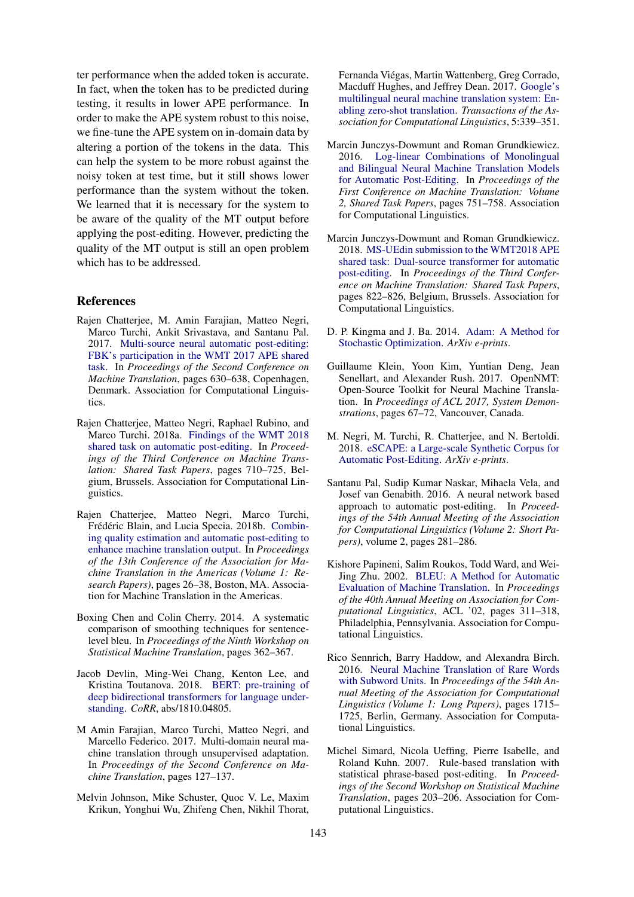ter performance when the added token is accurate. In fact, when the token has to be predicted during testing, it results in lower APE performance. In order to make the APE system robust to this noise, we fine-tune the APE system on in-domain data by altering a portion of the tokens in the data. This can help the system to be more robust against the noisy token at test time, but it still shows lower performance than the system without the token. We learned that it is necessary for the system to be aware of the quality of the MT output before applying the post-editing. However, predicting the quality of the MT output is still an open problem which has to be addressed.

#### References

- <span id="page-4-2"></span>Rajen Chatterjee, M. Amin Farajian, Matteo Negri, Marco Turchi, Ankit Srivastava, and Santanu Pal. 2017. [Multi-source neural automatic post-editing:](https://doi.org/10.18653/v1/W17-4773) [FBK's participation in the WMT 2017 APE shared](https://doi.org/10.18653/v1/W17-4773) [task.](https://doi.org/10.18653/v1/W17-4773) In *Proceedings of the Second Conference on Machine Translation*, pages 630–638, Copenhagen, Denmark. Association for Computational Linguistics.
- <span id="page-4-3"></span>Rajen Chatterjee, Matteo Negri, Raphael Rubino, and Marco Turchi. 2018a. [Findings of the WMT 2018](https://www.aclweb.org/anthology/W18-6452) [shared task on automatic post-editing.](https://www.aclweb.org/anthology/W18-6452) In *Proceedings of the Third Conference on Machine Translation: Shared Task Papers*, pages 710–725, Belgium, Brussels. Association for Computational Linguistics.
- <span id="page-4-5"></span>Rajen Chatterjee, Matteo Negri, Marco Turchi, Frédéric Blain, and Lucia Specia. 2018b. [Combin](https://www.aclweb.org/anthology/W18-1804)[ing quality estimation and automatic post-editing to](https://www.aclweb.org/anthology/W18-1804) [enhance machine translation output.](https://www.aclweb.org/anthology/W18-1804) In *Proceedings of the 13th Conference of the Association for Machine Translation in the Americas (Volume 1: Research Papers)*, pages 26–38, Boston, MA. Association for Machine Translation in the Americas.
- <span id="page-4-9"></span>Boxing Chen and Colin Cherry. 2014. A systematic comparison of smoothing techniques for sentencelevel bleu. In *Proceedings of the Ninth Workshop on Statistical Machine Translation*, pages 362–367.
- <span id="page-4-7"></span>Jacob Devlin, Ming-Wei Chang, Kenton Lee, and Kristina Toutanova. 2018. [BERT: pre-training of](http://arxiv.org/abs/1810.04805) [deep bidirectional transformers for language under](http://arxiv.org/abs/1810.04805)[standing.](http://arxiv.org/abs/1810.04805) *CoRR*, abs/1810.04805.
- <span id="page-4-8"></span>M Amin Farajian, Marco Turchi, Matteo Negri, and Marcello Federico. 2017. Multi-domain neural machine translation through unsupervised adaptation. In *Proceedings of the Second Conference on Machine Translation*, pages 127–137.
- <span id="page-4-6"></span>Melvin Johnson, Mike Schuster, Quoc V. Le, Maxim Krikun, Yonghui Wu, Zhifeng Chen, Nikhil Thorat,

Fernanda Viegas, Martin Wattenberg, Greg Corrado, ´ Macduff Hughes, and Jeffrey Dean. 2017. [Google's](https://doi.org/10.1162/tacl_a_00065) [multilingual neural machine translation system: En](https://doi.org/10.1162/tacl_a_00065)[abling zero-shot translation.](https://doi.org/10.1162/tacl_a_00065) *Transactions of the Association for Computational Linguistics*, 5:339–351.

- <span id="page-4-11"></span>Marcin Junczys-Dowmunt and Roman Grundkiewicz. 2016. [Log-linear Combinations of Monolingual](https://doi.org/10.18653/v1/W16-2378) [and Bilingual Neural Machine Translation Models](https://doi.org/10.18653/v1/W16-2378) [for Automatic Post-Editing.](https://doi.org/10.18653/v1/W16-2378) In *Proceedings of the First Conference on Machine Translation: Volume 2, Shared Task Papers*, pages 751–758. Association for Computational Linguistics.
- <span id="page-4-4"></span>Marcin Junczys-Dowmunt and Roman Grundkiewicz. 2018. [MS-UEdin submission to the WMT2018 APE](https://www.aclweb.org/anthology/W18-6467) [shared task: Dual-source transformer for automatic](https://www.aclweb.org/anthology/W18-6467) [post-editing.](https://www.aclweb.org/anthology/W18-6467) In *Proceedings of the Third Conference on Machine Translation: Shared Task Papers*, pages 822–826, Belgium, Brussels. Association for Computational Linguistics.
- <span id="page-4-14"></span>D. P. Kingma and J. Ba. 2014. [Adam: A Method for](http://arxiv.org/abs/1412.6980) [Stochastic Optimization.](http://arxiv.org/abs/1412.6980) *ArXiv e-prints*.
- <span id="page-4-13"></span>Guillaume Klein, Yoon Kim, Yuntian Deng, Jean Senellart, and Alexander Rush. 2017. OpenNMT: Open-Source Toolkit for Neural Machine Translation. In *Proceedings of ACL 2017, System Demonstrations*, pages 67–72, Vancouver, Canada.
- <span id="page-4-10"></span>M. Negri, M. Turchi, R. Chatterjee, and N. Bertoldi. 2018. [eSCAPE: a Large-scale Synthetic Corpus for](http://arxiv.org/abs/1803.07274) [Automatic Post-Editing.](http://arxiv.org/abs/1803.07274) *ArXiv e-prints*.
- <span id="page-4-1"></span>Santanu Pal, Sudip Kumar Naskar, Mihaela Vela, and Josef van Genabith. 2016. A neural network based approach to automatic post-editing. In *Proceedings of the 54th Annual Meeting of the Association for Computational Linguistics (Volume 2: Short Papers)*, volume 2, pages 281–286.
- <span id="page-4-15"></span>Kishore Papineni, Salim Roukos, Todd Ward, and Wei-Jing Zhu. 2002. [BLEU: A Method for Automatic](https://doi.org/10.3115/1073083.1073135) [Evaluation of Machine Translation.](https://doi.org/10.3115/1073083.1073135) In *Proceedings of the 40th Annual Meeting on Association for Computational Linguistics*, ACL '02, pages 311–318, Philadelphia, Pennsylvania. Association for Computational Linguistics.
- <span id="page-4-12"></span>Rico Sennrich, Barry Haddow, and Alexandra Birch. 2016. [Neural Machine Translation of Rare Words](http://www.aclweb.org/anthology/P16-1162) [with Subword Units.](http://www.aclweb.org/anthology/P16-1162) In *Proceedings of the 54th Annual Meeting of the Association for Computational Linguistics (Volume 1: Long Papers)*, pages 1715– 1725, Berlin, Germany. Association for Computational Linguistics.
- <span id="page-4-0"></span>Michel Simard, Nicola Ueffing, Pierre Isabelle, and Roland Kuhn. 2007. Rule-based translation with statistical phrase-based post-editing. In *Proceedings of the Second Workshop on Statistical Machine Translation*, pages 203–206. Association for Computational Linguistics.